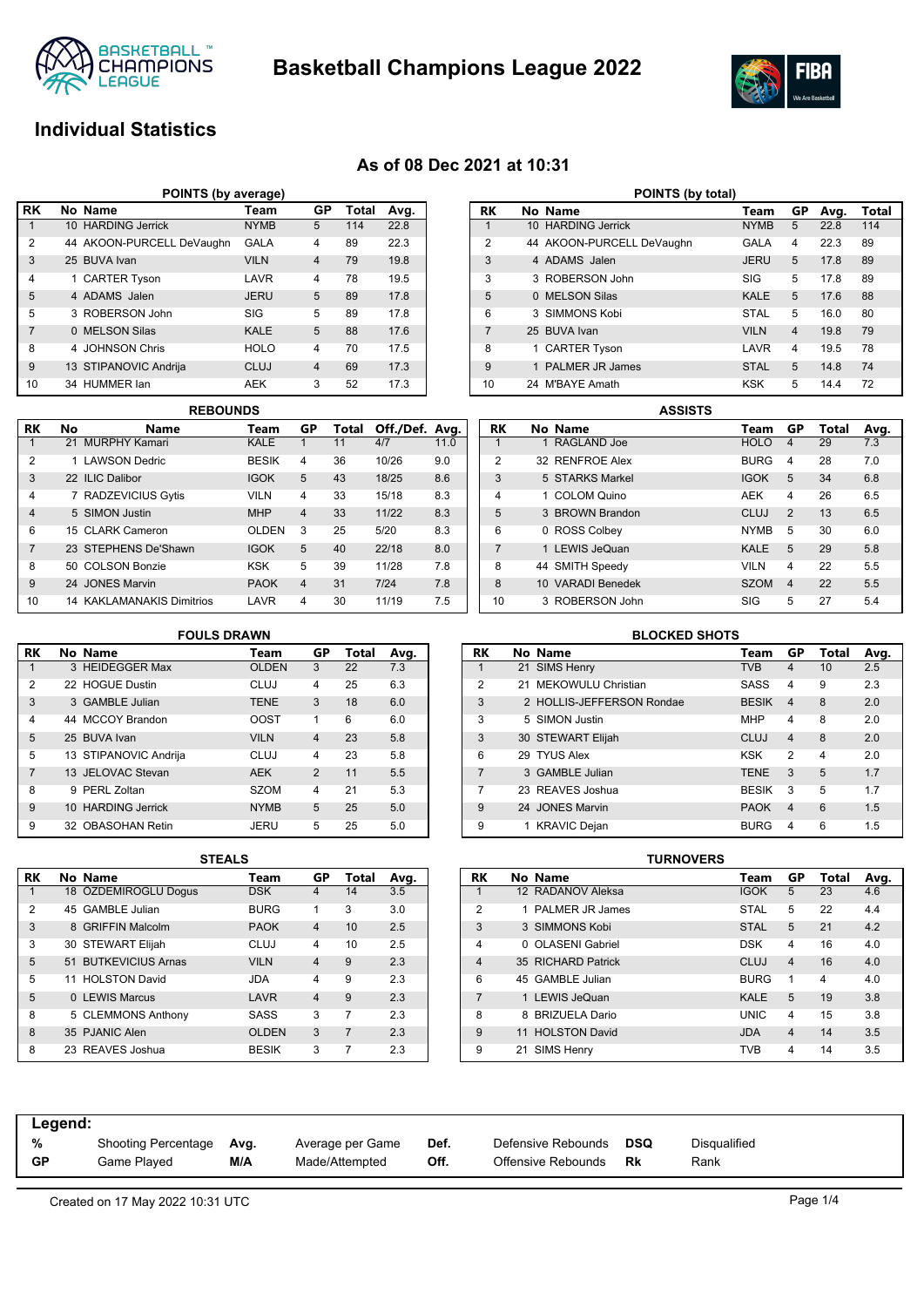

**Basketball Champions League 2022**



## **Individual Statistics**

### **As of 08 Dec 2021 at 10:31**

| POINTS (by average) |  |                           |             |                |       |      |  |  |  |  |
|---------------------|--|---------------------------|-------------|----------------|-------|------|--|--|--|--|
| <b>RK</b>           |  | No Name                   | Team        | GP             | Total | Avg. |  |  |  |  |
|                     |  | 10 HARDING Jerrick        | <b>NYMB</b> | 5              | 114   | 22.8 |  |  |  |  |
| $\overline{2}$      |  | 44 AKOON-PURCELL DeVaughn | <b>GALA</b> | 4              | 89    | 22.3 |  |  |  |  |
| 3                   |  | 25 BUVA Ivan              | <b>VILN</b> | $\overline{4}$ | 79    | 19.8 |  |  |  |  |
| $\overline{4}$      |  | 1 CARTER Tyson            | LAVR        | 4              | 78    | 19.5 |  |  |  |  |
| 5                   |  | 4 ADAMS Jalen             | <b>JERU</b> | 5              | 89    | 17.8 |  |  |  |  |
| 5                   |  | 3 ROBERSON John           | SIG         | 5              | 89    | 17.8 |  |  |  |  |
| $\overline{7}$      |  | 0 MELSON Silas            | <b>KALE</b> | 5              | 88    | 17.6 |  |  |  |  |
| 8                   |  | 4 JOHNSON Chris           | <b>HOLO</b> | 4              | 70    | 17.5 |  |  |  |  |
| 9                   |  | 13 STIPANOVIC Andrija     | <b>CLUJ</b> | $\overline{4}$ | 69    | 17.3 |  |  |  |  |
| 10                  |  | 34 HUMMER lan             | <b>AEK</b>  | 3              | 52    | 17.3 |  |  |  |  |

|                | <b>REBOUNDS</b> |                                  |              |                |       |                |      |  |  |  |
|----------------|-----------------|----------------------------------|--------------|----------------|-------|----------------|------|--|--|--|
| RK             | No              | Name                             | Team         | GP             | Total | Off./Def. Avg. |      |  |  |  |
|                |                 | 21 MURPHY Kamari                 | KALE         |                | 11    | 4/7            | 11.0 |  |  |  |
| 2              |                 | 1 LAWSON Dedric                  | <b>BESIK</b> | 4              | 36    | 10/26          | 9.0  |  |  |  |
| 3              |                 | 22 ILIC Dalibor                  | <b>IGOK</b>  | 5              | 43    | 18/25          | 8.6  |  |  |  |
| 4              |                 | 7 RADZEVICIUS Gytis              | <b>VILN</b>  | 4              | 33    | 15/18          | 8.3  |  |  |  |
| $\overline{4}$ |                 | 5 SIMON Justin                   | <b>MHP</b>   | $\overline{4}$ | 33    | 11/22          | 8.3  |  |  |  |
| 6              |                 | 15 CLARK Cameron                 | <b>OLDEN</b> | 3              | 25    | 5/20           | 8.3  |  |  |  |
| 7              |                 | 23 STEPHENS De'Shawn             | <b>IGOK</b>  | 5              | 40    | 22/18          | 8.0  |  |  |  |
| 8              |                 | 50 COLSON Bonzie                 | <b>KSK</b>   | 5              | 39    | 11/28          | 7.8  |  |  |  |
| 9              |                 | 24 JONES Marvin                  | <b>PAOK</b>  | $\overline{4}$ | 31    | 7/24           | 7.8  |  |  |  |
| 10             |                 | <b>14 KAKLAMANAKIS Dimitrios</b> | LAVR         | 4              | 30    | 11/19          | 7.5  |  |  |  |

| POINTS (by total) |  |                           |             |                |      |       |  |  |  |  |
|-------------------|--|---------------------------|-------------|----------------|------|-------|--|--|--|--|
| RK                |  | No Name                   | Team        | GP             | Avg. | Total |  |  |  |  |
| 1                 |  | 10 HARDING Jerrick        | <b>NYMB</b> | 5              | 22.8 | 114   |  |  |  |  |
| 2                 |  | 44 AKOON-PURCELL DeVaughn | <b>GALA</b> | 4              | 22.3 | 89    |  |  |  |  |
| 3                 |  | 4 ADAMS Jalen             | <b>JERU</b> | 5              | 17.8 | 89    |  |  |  |  |
| 3                 |  | 3 ROBERSON John           | SIG         | 5              | 17.8 | 89    |  |  |  |  |
| 5                 |  | 0 MELSON Silas            | <b>KALE</b> | 5              | 17.6 | 88    |  |  |  |  |
| 6                 |  | 3 SIMMONS Kobi            | <b>STAL</b> | 5              | 16.0 | 80    |  |  |  |  |
| $\overline{7}$    |  | 25 BUVA Ivan              | <b>VILN</b> | $\overline{4}$ | 19.8 | 79    |  |  |  |  |
| 8                 |  | 1 CARTER Tyson            | LAVR        | 4              | 19.5 | 78    |  |  |  |  |
| 9                 |  | <b>PALMER JR James</b>    | <b>STAL</b> | 5              | 14.8 | 74    |  |  |  |  |
| 10                |  | 24 M'BAYE Amath           | <b>KSK</b>  | 5              | 14.4 | 72    |  |  |  |  |

|                |                   | <b>ASSISTS</b> |             |                |       |      |
|----------------|-------------------|----------------|-------------|----------------|-------|------|
| RK             | No Name           |                | Team        | GP             | Total | Avg. |
|                | 1 RAGLAND Joe     |                | <b>HOLO</b> | $\overline{4}$ | 29    | 7.3  |
| $\overline{2}$ | 32 RENFROE Alex   |                | <b>BURG</b> | 4              | 28    | 7.0  |
| 3              | 5 STARKS Markel   |                | <b>IGOK</b> | 5              | 34    | 6.8  |
| $\overline{4}$ | 1 COLOM Quino     |                | <b>AEK</b>  | $\overline{4}$ | 26    | 6.5  |
| 5              | 3 BROWN Brandon   |                | <b>CLUJ</b> | 2              | 13    | 6.5  |
| 6              | 0 ROSS Colbey     |                | <b>NYMB</b> | 5              | 30    | 6.0  |
| $\overline{7}$ | 1 LEWIS JeQuan    |                | <b>KALE</b> | 5              | 29    | 5.8  |
| 8              | 44 SMITH Speedy   |                | <b>VILN</b> | 4              | 22    | 5.5  |
| 8              | 10 VARADI Benedek |                | <b>SZOM</b> | $\overline{4}$ | 22    | 5.5  |
| 10             | 3 ROBERSON John   |                | SIG         | 5              | 27    | 5.4  |

|                | <b>FOULS DRAWN</b> |                       |              |                |       |      |  |  |  |  |  |
|----------------|--------------------|-----------------------|--------------|----------------|-------|------|--|--|--|--|--|
| RK             |                    | No Name               | Team         | GP             | Total | Avg. |  |  |  |  |  |
| 1              |                    | 3 HEIDEGGER Max       | <b>OLDEN</b> | 3              | 22    | 7.3  |  |  |  |  |  |
| 2              |                    | 22 HOGUE Dustin       | <b>CLUJ</b>  | 4              | 25    | 6.3  |  |  |  |  |  |
| 3              |                    | 3 GAMBLE Julian       | <b>TENE</b>  | 3              | 18    | 6.0  |  |  |  |  |  |
| $\overline{4}$ |                    | 44 MCCOY Brandon      | <b>OOST</b>  | 1              | 6     | 6.0  |  |  |  |  |  |
| 5              |                    | 25 BUVA Ivan          | <b>VILN</b>  | $\overline{4}$ | 23    | 5.8  |  |  |  |  |  |
| 5              |                    | 13 STIPANOVIC Andrija | <b>CLUJ</b>  | 4              | 23    | 5.8  |  |  |  |  |  |
| $\overline{7}$ |                    | 13 JELOVAC Stevan     | <b>AEK</b>   | $\overline{2}$ | 11    | 5.5  |  |  |  |  |  |
| 8              |                    | 9 PERL Zoltan         | <b>SZOM</b>  | 4              | 21    | 5.3  |  |  |  |  |  |
| $\mathbf{Q}$   |                    | 10 HARDING Jerrick    | <b>NYMB</b>  | 5              | 25    | 5.0  |  |  |  |  |  |
| 9              |                    | 32 OBASOHAN Retin     | JERU         | 5              | 25    | 5.0  |  |  |  |  |  |

|                | <b>BLOCKED SHOTS</b> |                           |              |                |       |      |  |  |  |  |  |
|----------------|----------------------|---------------------------|--------------|----------------|-------|------|--|--|--|--|--|
| RK             |                      | No Name                   | Team         | GP             | Total | Avg. |  |  |  |  |  |
| 1              |                      | 21 SIMS Henry             | <b>TVB</b>   | $\overline{4}$ | 10    | 2.5  |  |  |  |  |  |
| $\overline{2}$ |                      | 21 MEKOWULU Christian     | <b>SASS</b>  | 4              | 9     | 2.3  |  |  |  |  |  |
| 3              |                      | 2 HOLLIS-JEFFERSON Rondae | <b>BESIK</b> | $\overline{4}$ | 8     | 2.0  |  |  |  |  |  |
| 3              |                      | 5 SIMON Justin            | <b>MHP</b>   | $\overline{4}$ | 8     | 2.0  |  |  |  |  |  |
| 3              |                      | 30 STEWART Elijah         | <b>CLUJ</b>  | $\overline{4}$ | 8     | 2.0  |  |  |  |  |  |
| 6              |                      | 29 TYUS Alex              | <b>KSK</b>   | 2              | 4     | 2.0  |  |  |  |  |  |
| 7              |                      | 3 GAMBLE Julian           | <b>TENE</b>  | 3              | 5     | 1.7  |  |  |  |  |  |
| 7              |                      | 23 REAVES Joshua          | <b>BESIK</b> | 3              | 5     | 1.7  |  |  |  |  |  |
| 9              |                      | 24 JONES Marvin           | <b>PAOK</b>  | $\overline{4}$ | 6     | 1.5  |  |  |  |  |  |
| 9              |                      | 1 KRAVIC Dejan            | <b>BURG</b>  | 4              | 6     | 1.5  |  |  |  |  |  |
|                |                      |                           |              |                |       |      |  |  |  |  |  |

|    | <u>uilalu</u> |                      |              |                |                |      |  |  |  |  |
|----|---------------|----------------------|--------------|----------------|----------------|------|--|--|--|--|
| RK |               | No Name              | Team         | GP             | Total          | Avg. |  |  |  |  |
|    |               | 18 ÖZDEMIROGLU Dogus | <b>DSK</b>   | 4              | 14             | 3.5  |  |  |  |  |
| 2  |               | 45 GAMBLE Julian     | <b>BURG</b>  | 1              | 3              | 3.0  |  |  |  |  |
| 3  |               | 8 GRIFFIN Malcolm    | <b>PAOK</b>  | $\overline{4}$ | 10             | 2.5  |  |  |  |  |
| 3  |               | 30 STEWART Elijah    | CLUJ         | 4              | 10             | 2.5  |  |  |  |  |
| 5  |               | 51 BUTKEVICIUS Arnas | <b>VILN</b>  | $\overline{4}$ | 9              | 2.3  |  |  |  |  |
| 5  |               | 11 HOLSTON David     | JDA          | 4              | 9              | 2.3  |  |  |  |  |
| 5  |               | 0 LEWIS Marcus       | LAVR         | $\overline{4}$ | 9              | 2.3  |  |  |  |  |
| 8  |               | 5 CLEMMONS Anthony   | <b>SASS</b>  | 3              | 7              | 2.3  |  |  |  |  |
| 8  |               | 35 PJANIC Alen       | <b>OLDEN</b> | 3              | $\overline{7}$ | 2.3  |  |  |  |  |
| 8  |               | 23 REAVES Joshua     | <b>BESIK</b> | 3              |                | 2.3  |  |  |  |  |

| <b>STEALS</b> |              |                |       |      |                |    |                      | <b>TURNOVERS</b> |             |    |       |      |
|---------------|--------------|----------------|-------|------|----------------|----|----------------------|------------------|-------------|----|-------|------|
|               | Team         | GP             | Total | Avg. | <b>RK</b>      |    | No Name              |                  | Team        | GP | Total | Avg. |
|               | <b>DSK</b>   | 4              | 14    | 3.5  |                |    | 12 RADANOV Aleksa    |                  | <b>IGOK</b> | 5  | 23    | 4.6  |
|               | <b>BURG</b>  | 1.             | 3     | 3.0  | $\overline{2}$ |    | 1 PALMER JR James    |                  | <b>STAL</b> | 5  | 22    | 4.4  |
|               | <b>PAOK</b>  | $\overline{4}$ | 10    | 2.5  | 3              |    | 3 SIMMONS Kobi       |                  | <b>STAL</b> | 5  | 21    | 4.2  |
|               | <b>CLUJ</b>  | 4              | 10    | 2.5  | 4              |    | 0 OLASENI Gabriel    |                  | <b>DSK</b>  | 4  | 16    | 4.0  |
|               | <b>VILN</b>  | $\overline{4}$ | 9     | 2.3  | 4              |    | 35 RICHARD Patrick   |                  | <b>CLUJ</b> | 4  | 16    | 4.0  |
|               | <b>JDA</b>   | 4              | 9     | 2.3  | 6              |    | 45 GAMBLE Julian     |                  | <b>BURG</b> |    | 4     | 4.0  |
|               | LAVR         | $\overline{4}$ | 9     | 2.3  |                |    | 1 LEWIS JeQuan       |                  | <b>KALE</b> | 5  | 19    | 3.8  |
|               | <b>SASS</b>  | 3              | 7     | 2.3  | 8              |    | 8 BRIZUELA Dario     |                  | <b>UNIC</b> | 4  | 15    | 3.8  |
|               | <b>OLDEN</b> | 3              | 7     | 2.3  | 9              | 11 | <b>HOLSTON David</b> |                  | <b>JDA</b>  | 4  | 14    | 3.5  |
|               | <b>BESIK</b> | 3              |       | 2.3  | 9              | 21 | <b>SIMS Henry</b>    |                  | TVB         | 4  | 14    | 3.5  |

| Legend:   |                     |      |                  |      |                    |            |              |
|-----------|---------------------|------|------------------|------|--------------------|------------|--------------|
| %         | Shooting Percentage | Avg. | Average per Game | Def. | Defensive Rebounds | <b>DSQ</b> | Disqualified |
| <b>GP</b> | Game Plaved         | M/A  | Made/Attempted   | Off. | Offensive Rebounds | Rk         | Rank         |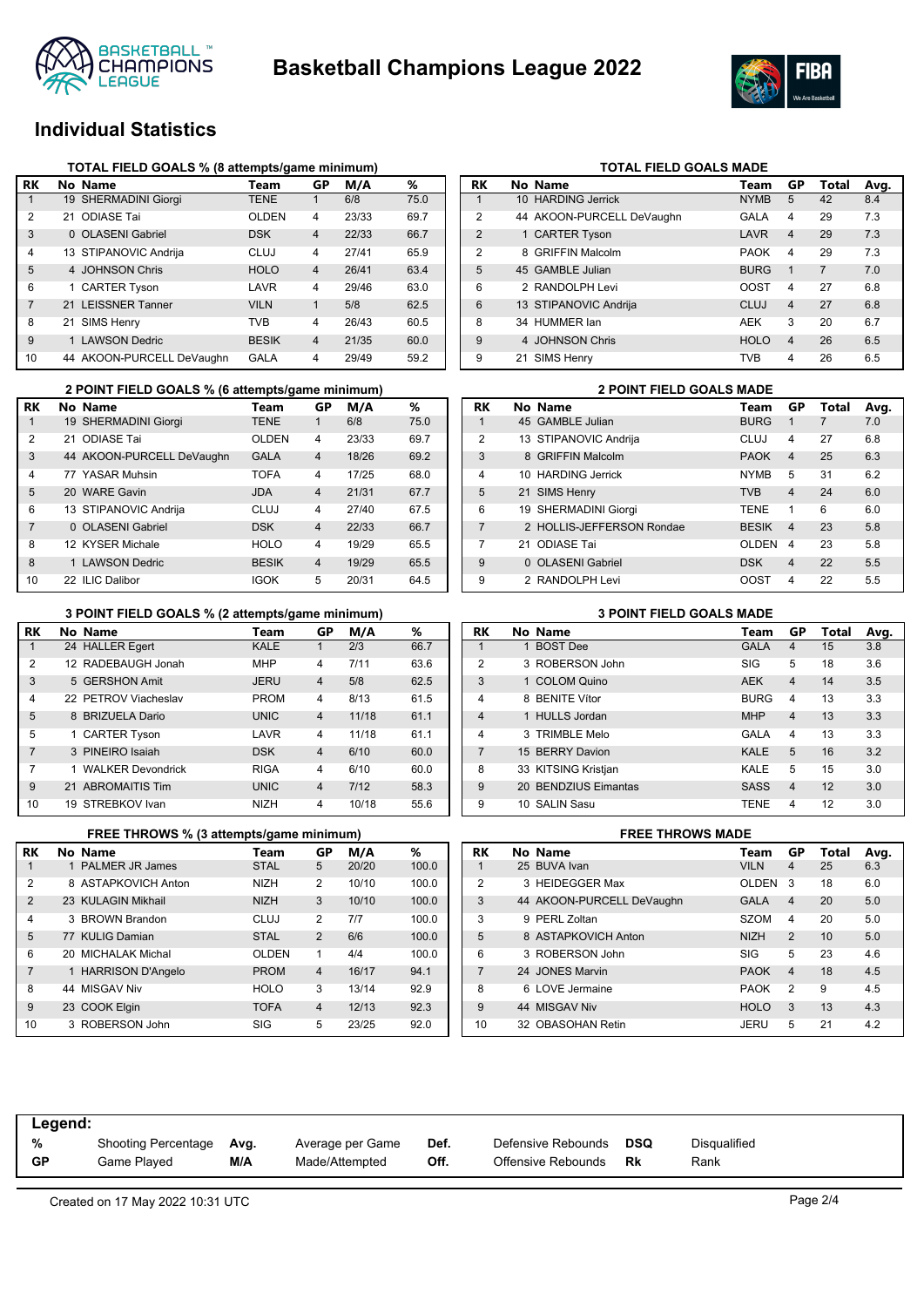



## **Individual Statistics**

|              | TOTAL FIELD GOALS % (8 attempts/game minimum) |                           |              |                |       |      |  |  |  |  |  |
|--------------|-----------------------------------------------|---------------------------|--------------|----------------|-------|------|--|--|--|--|--|
| RK           |                                               | No Name                   | Team         | GP             | M/A   | %    |  |  |  |  |  |
| $\mathbf{1}$ |                                               | 19 SHERMADINI Giorgi      | <b>TENE</b>  | 1              | 6/8   | 75.0 |  |  |  |  |  |
| 2            | 21.                                           | <b>ODIASE Tai</b>         | <b>OLDEN</b> | 4              | 23/33 | 69.7 |  |  |  |  |  |
| 3            |                                               | 0 OLASENI Gabriel         | <b>DSK</b>   | $\overline{4}$ | 22/33 | 66.7 |  |  |  |  |  |
| 4            |                                               | 13 STIPANOVIC Andrija     | CLUJ         | 4              | 27/41 | 65.9 |  |  |  |  |  |
| 5            |                                               | 4 JOHNSON Chris           | <b>HOLO</b>  | $\overline{4}$ | 26/41 | 63.4 |  |  |  |  |  |
| 6            |                                               | 1 CARTER Tyson            | LAVR         | 4              | 29/46 | 63.0 |  |  |  |  |  |
| 7            |                                               | 21 LEISSNER Tanner        | <b>VILN</b>  | 1              | 5/8   | 62.5 |  |  |  |  |  |
| 8            |                                               | 21 SIMS Henry             | TVB          | 4              | 26/43 | 60.5 |  |  |  |  |  |
| 9            |                                               | <b>LAWSON Dedric</b>      | <b>BESIK</b> | $\overline{4}$ | 21/35 | 60.0 |  |  |  |  |  |
| 10           |                                               | 44 AKOON-PURCELL DeVaughn | GALA         | 4              | 29/49 | 59.2 |  |  |  |  |  |

|                | 2 POINT FIELD GOALS % (6 attempts/game minimum) |                           |              |                |       |      |  |  |  |  |  |
|----------------|-------------------------------------------------|---------------------------|--------------|----------------|-------|------|--|--|--|--|--|
| RK             |                                                 | No Name                   | Team         | GP             | M/A   | %    |  |  |  |  |  |
| 1              |                                                 | 19 SHERMADINI Giorgi      | <b>TENE</b>  |                | 6/8   | 75.0 |  |  |  |  |  |
| $\overline{2}$ |                                                 | 21 ODIASE Tai             | OI DEN       | 4              | 23/33 | 69.7 |  |  |  |  |  |
| 3              |                                                 | 44 AKOON-PURCELL DeVaughn | <b>GALA</b>  | $\overline{4}$ | 18/26 | 69.2 |  |  |  |  |  |
| 4              |                                                 | 77 YASAR Muhsin           | <b>TOFA</b>  | 4              | 17/25 | 68.0 |  |  |  |  |  |
| 5              |                                                 | 20 WARF Gavin             | JDA          | $\overline{4}$ | 21/31 | 67.7 |  |  |  |  |  |
| 6              |                                                 | 13 STIPANOVIC Andrija     | CLUJ         | 4              | 27/40 | 67.5 |  |  |  |  |  |
| $\overline{7}$ |                                                 | 0 OLASENI Gabriel         | <b>DSK</b>   | $\overline{4}$ | 22/33 | 66.7 |  |  |  |  |  |
| 8              |                                                 | 12 KYSER Michale          | <b>HOLO</b>  | 4              | 19/29 | 65.5 |  |  |  |  |  |
| 8              |                                                 | 1 LAWSON Dedric           | <b>BESIK</b> | $\overline{4}$ | 19/29 | 65.5 |  |  |  |  |  |
| 10             |                                                 | 22 ILIC Dalibor           | IGOK         | 5              | 20/31 | 64.5 |  |  |  |  |  |

# **TOTAL FIELD GOALS MADE**<br>Team Made

| RK              | No Name                   | Team        | GP             | Total | Avg. |
|-----------------|---------------------------|-------------|----------------|-------|------|
| 1               | 10 HARDING Jerrick        | <b>NYMB</b> | 5              | 42    | 8.4  |
| $\overline{2}$  | 44 AKOON-PURCELL DeVaughn | GALA        | 4              | 29    | 7.3  |
| $\overline{2}$  | 1 CARTER Tyson            | LAVR        | $\overline{4}$ | 29    | 7.3  |
| 2               | 8 GRIFFIN Malcolm         | <b>PAOK</b> | 4              | 29    | 7.3  |
| 5               | 45 GAMBLE Julian          | <b>BURG</b> | 1              | 7     | 7.0  |
| 6               | 2 RANDOLPH Levi           | <b>OOST</b> | 4              | 27    | 6.8  |
| $6\phantom{1}6$ | 13 STIPANOVIC Andrija     | <b>CLUJ</b> | $\overline{4}$ | 27    | 6.8  |
| 8               | 34 HUMMER lan             | <b>AEK</b>  | 3              | 20    | 6.7  |
| 9               | 4 JOHNSON Chris           | <b>HOLO</b> | 4              | 26    | 6.5  |
| 9               | 21 SIMS Henry             | <b>TVB</b>  | 4              | 26    | 6.5  |

|                | <b>2 POINT FIELD GOALS MADE</b> |                           |              |                         |       |      |  |  |  |  |
|----------------|---------------------------------|---------------------------|--------------|-------------------------|-------|------|--|--|--|--|
| RK             |                                 | No Name                   | Team         | GP                      | Total | Avg. |  |  |  |  |
| 1              |                                 | 45 GAMBLE Julian          | <b>BURG</b>  | 1                       | 7     | 7.0  |  |  |  |  |
| $\overline{2}$ |                                 | 13 STIPANOVIC Andrija     | CLUJ         | 4                       | 27    | 6.8  |  |  |  |  |
| 3              | 8                               | <b>GRIFFIN Malcolm</b>    | <b>PAOK</b>  | $\overline{\mathbf{4}}$ | 25    | 6.3  |  |  |  |  |
| $\overline{4}$ |                                 | 10 HARDING Jerrick        | <b>NYMB</b>  | 5                       | 31    | 6.2  |  |  |  |  |
| 5              |                                 | 21 SIMS Henry             | <b>TVB</b>   | $\overline{\mathbf{A}}$ | 24    | 6.0  |  |  |  |  |
| 6              |                                 | 19 SHERMADINI Giorgi      | <b>TFNF</b>  | 1                       | 6     | 6.0  |  |  |  |  |
| $\overline{7}$ |                                 | 2 HOLLIS-JEFFERSON Rondae | <b>BESIK</b> | $\boldsymbol{4}$        | 23    | 5.8  |  |  |  |  |
| 7              | 21                              | ODIASE Tai                | <b>OLDEN</b> | 4                       | 23    | 5.8  |  |  |  |  |
| $\mathbf{Q}$   | 0                               | <b>OLASENI Gabriel</b>    | <b>DSK</b>   | $\overline{\mathbf{4}}$ | 22    | 5.5  |  |  |  |  |
| 9              |                                 | 2 RANDOLPH Levi           | OOST         | 4                       | 22    | 5.5  |  |  |  |  |

### **3 POINT FIELD GOALS % (2 attempts/game minimum) 3 POINT FIELD GOALS MADE**

|                |                          | -           |                |       |      |
|----------------|--------------------------|-------------|----------------|-------|------|
| RK             | No Name                  | Team        | GP             | M/A   | %    |
| 1              | 24 HALLER Egert          | <b>KALE</b> | 1              | 2/3   | 66.7 |
| 2              | 12 RADEBAUGH Jonah       | <b>MHP</b>  | $\overline{4}$ | 7/11  | 63.6 |
| 3              | 5 GERSHON Amit           | <b>JERU</b> | $\overline{4}$ | 5/8   | 62.5 |
| 4              | 22 PETROV Viacheslav     | <b>PROM</b> | $\overline{4}$ | 8/13  | 61.5 |
| 5              | 8 BRIZUELA Dario         | <b>UNIC</b> | $\overline{4}$ | 11/18 | 61.1 |
| 5              | 1 CARTER Tyson           | LAVR        | $\overline{4}$ | 11/18 | 61.1 |
| $\overline{7}$ | 3 PINEIRO Isaiah         | <b>DSK</b>  | $\overline{4}$ | 6/10  | 60.0 |
| 7              | <b>WALKER Devondrick</b> | <b>RIGA</b> | $\overline{4}$ | 6/10  | 60.0 |
| 9              | 21 ABROMAITIS Tim        | <b>UNIC</b> | $\overline{4}$ | 7/12  | 58.3 |
| 10             | 19 STREBKOV Ivan         | <b>NIZH</b> | $\overline{4}$ | 10/18 | 55.6 |

|                | FREE THROWS % (3 attempts/game minimum) |              |                |       | <b>FREE THROWS MADE</b> |                |                           |                |
|----------------|-----------------------------------------|--------------|----------------|-------|-------------------------|----------------|---------------------------|----------------|
| RK             | No Name                                 | Team         | GP             | M/A   | %                       | RK             | No Name                   | Τe             |
|                | 1 PALMER JR James                       | <b>STAL</b>  | 5              | 20/20 | 100.0                   |                | 25 BUVA Ivan              | VII            |
| 2              | 8 ASTAPKOVICH Anton                     | <b>NIZH</b>  | 2              | 10/10 | 100.0                   | 2              | 3 HEIDEGGER Max           | Ol             |
| 2              | 23 KULAGIN Mikhail                      | <b>NIZH</b>  | 3              | 10/10 | 100.0                   | 3              | 44 AKOON-PURCELL DeVaughn | G/             |
| 4              | 3 BROWN Brandon                         | CLUJ         | $\overline{2}$ | 7/7   | 100.0                   | 3              | 9 PERL Zoltan             | SZ             |
| 5              | 77 KULIG Damian                         | <b>STAL</b>  | 2              | 6/6   | 100.0                   | 5              | 8 ASTAPKOVICH Anton       | NI.            |
| 6              | 20 MICHALAK Michal                      | <b>OLDEN</b> |                | 4/4   | 100.0                   | 6              | 3 ROBERSON John           | SI             |
| $\overline{7}$ | 1 HARRISON D'Angelo                     | <b>PROM</b>  | $\overline{4}$ | 16/17 | 94.1                    | $\overline{7}$ | 24 JONES Marvin           | P              |
| 8              | 44 MISGAV Niv                           | <b>HOLO</b>  | 3              | 13/14 | 92.9                    | 8              | 6 LOVE Jermaine           | P              |
| 9              | 23 COOK Elgin                           | <b>TOFA</b>  | $\overline{4}$ | 12/13 | 92.3                    | 9              | 44 MISGAV Niv             | H <sub>C</sub> |
| 10             | 3 ROBERSON John                         | <b>SIG</b>   | 5              | 23/25 | 92.0                    | 10             | 32 OBASOHAN Retin         | JE             |

| RK             | No Name              | Team        | GP                      | Total | Avg. |
|----------------|----------------------|-------------|-------------------------|-------|------|
|                | 1 BOST Dee           | <b>GALA</b> | 4                       | 15    | 3.8  |
| $\overline{2}$ | 3 ROBERSON John      | SIG         | 5                       | 18    | 3.6  |
| 3              | 1 COLOM Quino        | <b>AEK</b>  | $\overline{\mathbf{4}}$ | 14    | 3.5  |
| $\overline{4}$ | 8 BENITE Vítor       | <b>BURG</b> | 4                       | 13    | 3.3  |
| $\overline{4}$ | 1 HULLS Jordan       | <b>MHP</b>  | $\overline{4}$          | 13    | 3.3  |
| $\overline{4}$ | 3 TRIMBLE Melo       | GALA        | 4                       | 13    | 3.3  |
| $\overline{7}$ | 15 BERRY Davion      | <b>KALE</b> | 5                       | 16    | 3.2  |
| 8              | 33 KITSING Kristjan  | KALE        | 5                       | 15    | 3.0  |
| 9              | 20 BENDZIUS Eimantas | <b>SASS</b> | $\overline{4}$          | 12    | 3.0  |
| 9              | 10 SALIN Sasu        | <b>TENE</b> | 4                       | 12    | 3.0  |

| RK             | No Name                   | Team         | GP             | Total | Avg. |
|----------------|---------------------------|--------------|----------------|-------|------|
|                | 25 BUVA Ivan              | <b>VILN</b>  | 4              | 25    | 6.3  |
| $\mathcal{P}$  | 3 HEIDEGGER Max           | <b>OLDEN</b> | 3              | 18    | 6.0  |
| 3              | 44 AKOON-PURCELL DeVaughn | <b>GALA</b>  | $\overline{4}$ | 20    | 5.0  |
| 3              | 9 PERL Zoltan             | <b>SZOM</b>  | 4              | 20    | 5.0  |
| 5              | 8 ASTAPKOVICH Anton       | <b>NIZH</b>  | $\mathfrak{p}$ | 10    | 5.0  |
| 6              | 3 ROBERSON John           | SIG          | 5              | 23    | 4.6  |
| $\overline{7}$ | 24 JONES Marvin           | <b>PAOK</b>  | 4              | 18    | 4.5  |
| 8              | 6 LOVE Jermaine           | <b>PAOK</b>  | 2              | 9     | 4.5  |
| $\mathbf{Q}$   | 44 MISGAV Niv             | <b>HOLO</b>  | 3              | 13    | 4.3  |
| 10             | 32 OBASOHAN Retin         | JERU         | 5              | 21    | 4.2  |

| Legend:   |                     |      |                  |      |                    |     |              |
|-----------|---------------------|------|------------------|------|--------------------|-----|--------------|
| %         | Shooting Percentage | Avg. | Average per Game | Def. | Defensive Rebounds | DSQ | Disqualified |
| <b>GP</b> | Game Played         | M/A  | Made/Attempted   | Off. | Offensive Rebounds | Rk  | Rank         |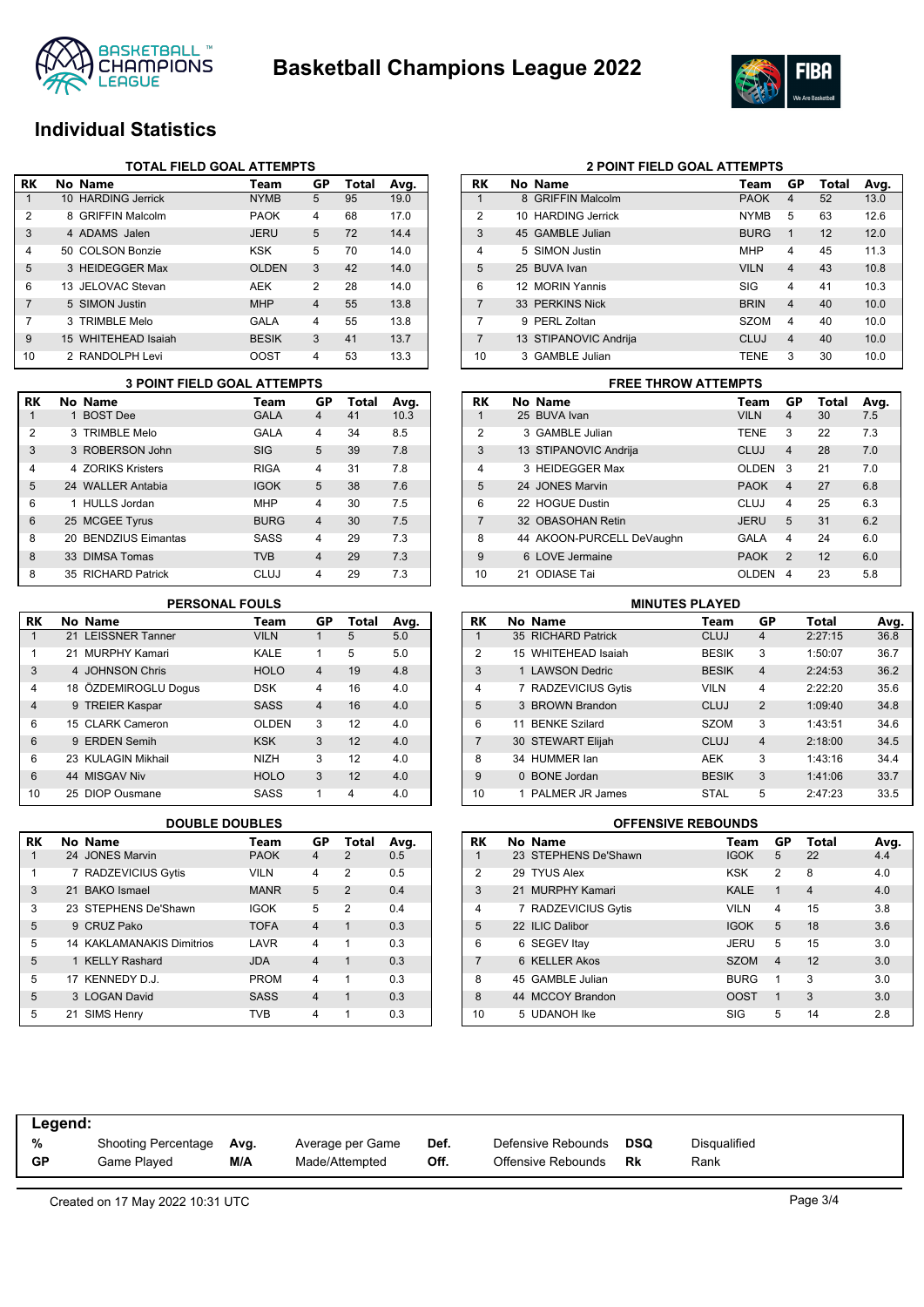



### **Individual Statistics**

|                | <b>TOTAL FIELD GOAL ATTEMPTS</b> |                     |              |                |       |      |  |  |  |
|----------------|----------------------------------|---------------------|--------------|----------------|-------|------|--|--|--|
| RK             |                                  | No Name             | Team         | GP             | Total | Avg. |  |  |  |
| 1              |                                  | 10 HARDING Jerrick  | <b>NYMB</b>  | 5              | 95    | 19.0 |  |  |  |
| $\overline{2}$ |                                  | 8 GRIFFIN Malcolm   | <b>PAOK</b>  | 4              | 68    | 17.0 |  |  |  |
| 3              |                                  | 4 ADAMS Jalen       | <b>JERU</b>  | 5              | 72    | 14.4 |  |  |  |
| 4              |                                  | 50 COLSON Bonzie    | <b>KSK</b>   | 5              | 70    | 14.0 |  |  |  |
| 5              |                                  | 3 HEIDEGGER Max     | <b>OLDEN</b> | 3              | 42    | 14.0 |  |  |  |
| 6              |                                  | 13 JELOVAC Stevan   | AEK          | $\overline{2}$ | 28    | 14.0 |  |  |  |
| 7              |                                  | 5 SIMON Justin      | <b>MHP</b>   | $\overline{4}$ | 55    | 13.8 |  |  |  |
| 7              |                                  | 3 TRIMBLE Melo      | <b>GALA</b>  | $\overline{4}$ | 55    | 13.8 |  |  |  |
| 9              |                                  | 15 WHITEHEAD Isaiah | <b>BESIK</b> | 3              | 41    | 13.7 |  |  |  |
| 10             |                                  | 2 RANDOLPH Levi     | OOST         | 4              | 53    | 13.3 |  |  |  |

|                | <b>3 POINT FIELD GOAL ATTEMPTS</b> |             |                         |       |      |
|----------------|------------------------------------|-------------|-------------------------|-------|------|
| RK             | No Name                            | Team        | GP                      | Total | Avg. |
| 1              | 1 BOST Dee                         | <b>GALA</b> | $\overline{\mathbf{4}}$ | 41    | 10.3 |
| $\overline{2}$ | 3 TRIMBLE Melo                     | GALA        | 4                       | 34    | 8.5  |
| 3              | 3 ROBERSON John                    | <b>SIG</b>  | 5                       | 39    | 7.8  |
| 4              | 4 70RIKS Kristers                  | <b>RIGA</b> | 4                       | 31    | 7.8  |
| 5              | 24 WALLER Antabia                  | <b>IGOK</b> | 5                       | 38    | 7.6  |
| 6              | 1 HULLS Jordan                     | <b>MHP</b>  | 4                       | 30    | 7.5  |
| 6              | 25 MCGEE Tyrus                     | <b>BURG</b> | 4                       | 30    | 7.5  |
| 8              | 20 BENDZIUS Eimantas               | SASS        | 4                       | 29    | 7.3  |
| 8              | 33 DIMSA Tomas                     | <b>TVB</b>  | $\overline{4}$          | 29    | 7.3  |
| 8              | 35 RICHARD Patrick                 | <b>CLUJ</b> | 4                       | 29    | 7.3  |

| RK             | No Name              | Team         | GP             | <b>Total</b> | Avg. |
|----------------|----------------------|--------------|----------------|--------------|------|
| 1              | 21 LEISSNER Tanner   | <b>VILN</b>  | 1              | 5            | 5.0  |
| 1              | 21 MURPHY Kamari     | KALE         | 1              | 5            | 5.0  |
| 3              | 4 JOHNSON Chris      | <b>HOLO</b>  | $\overline{4}$ | 19           | 4.8  |
| 4              | 18 ÖZDEMIROGLU Dogus | <b>DSK</b>   | 4              | 16           | 4.0  |
| $\overline{4}$ | 9 TREIER Kaspar      | <b>SASS</b>  | $\overline{4}$ | 16           | 4.0  |
| 6              | 15 CLARK Cameron     | <b>OLDEN</b> | 3              | 12           | 4.0  |
| 6              | 9 ERDEN Semih        | <b>KSK</b>   | 3              | 12           | 4.0  |
| 6              | 23 KULAGIN Mikhail   | <b>NIZH</b>  | 3              | 12           | 4.0  |
| 6              | 44 MISGAV Niv        | <b>HOLO</b>  | 3              | 12           | 4.0  |
| 10             | 25 DIOP Ousmane      | SASS         | 1              | 4            | 4.0  |

| <b>RK</b> | No Name                          | Team        | GP             | Total          | Avg. |
|-----------|----------------------------------|-------------|----------------|----------------|------|
|           | 24 JONES Marvin                  | <b>PAOK</b> | 4              | $\overline{2}$ | 0.5  |
| 1         | 7 RADZEVICIUS Gytis              | <b>VILN</b> | 4              | 2              | 0.5  |
| 3         | 21 BAKO Ismael                   | <b>MANR</b> | 5              | $\overline{2}$ | 0.4  |
| 3         | 23 STEPHENS De'Shawn             | <b>IGOK</b> | 5              | $\mathfrak{p}$ | 0.4  |
| 5         | 9 CRUZ Pako                      | <b>TOFA</b> | $\overline{4}$ | 1              | 0.3  |
| 5         | <b>14 KAKLAMANAKIS Dimitrios</b> | LAVR        | 4              | 1              | 0.3  |
| 5         | 1 KELLY Rashard                  | <b>JDA</b>  | $\overline{4}$ | 1              | 0.3  |
| 5         | 17 KENNEDY D.J.                  | <b>PROM</b> | 4              | 1              | 0.3  |
| 5         | 3 LOGAN David                    | <b>SASS</b> | $\overline{4}$ | 1              | 0.3  |
| 5         | 21 SIMS Henry                    | TVB         | 4              |                | 0.3  |

| RK             | No Name               | Team        | GP             | Total | Avg. |
|----------------|-----------------------|-------------|----------------|-------|------|
| 1              | 8 GRIFFIN Malcolm     | <b>PAOK</b> | 4              | 52    | 13.0 |
| $\overline{2}$ | 10 HARDING Jerrick    | <b>NYMB</b> | 5              | 63    | 12.6 |
| 3              | 45 GAMBLE Julian      | <b>BURG</b> | 1              | 12    | 12.0 |
| 4              | 5 SIMON Justin        | <b>MHP</b>  | $\overline{4}$ | 45    | 11.3 |
| 5              | 25 BUVA Ivan          | <b>VILN</b> | $\overline{4}$ | 43    | 10.8 |
| 6              | 12 MORIN Yannis       | SIG         | 4              | 41    | 10.3 |
| 7              | 33 PERKINS Nick       | <b>BRIN</b> | $\overline{4}$ | 40    | 10.0 |
| 7              | PERL Zoltan<br>9      | <b>SZOM</b> | 4              | 40    | 10.0 |
| 7              | 13 STIPANOVIC Andrija | CLUJ        | $\overline{4}$ | 40    | 10.0 |
| 10             | 3 GAMBLE Julian       | <b>TENE</b> | 3              | 30    | 10.0 |

**2 POINT FIELD GOAL ATTEMPTS**

### **3 POINT FIELD GOAL ATTEMPTS FREE THROW ATTEMPTS**

| RK             |    | No Name                   | Team         | GP             | Total | Avg. |  |  |  |
|----------------|----|---------------------------|--------------|----------------|-------|------|--|--|--|
| 1              |    | 25 BUVA Ivan              | <b>VILN</b>  | 4              | 30    | 7.5  |  |  |  |
| $\overline{2}$ |    | 3 GAMBLE Julian           | <b>TENE</b>  | 3              | 22    | 7.3  |  |  |  |
| 3              |    | 13 STIPANOVIC Andrija     | CLUJ         | $\overline{4}$ | 28    | 7.0  |  |  |  |
| $\overline{4}$ |    | 3 HEIDEGGER Max           | <b>OLDEN</b> | 3              | 21    | 7.0  |  |  |  |
| 5              |    | 24 JONES Marvin           | <b>PAOK</b>  | $\overline{4}$ | 27    | 6.8  |  |  |  |
| 6              |    | 22 HOGUE Dustin           | CLUJ         | 4              | 25    | 6.3  |  |  |  |
| $\overline{7}$ |    | 32 OBASOHAN Retin         | <b>JERU</b>  | 5              | 31    | 6.2  |  |  |  |
| 8              |    | 44 AKOON-PURCELL DeVaughn | GALA         | 4              | 24    | 6.0  |  |  |  |
| 9              |    | 6 LOVE Jermaine           | <b>PAOK</b>  | $\mathfrak{p}$ | 12    | 6.0  |  |  |  |
| 10             | 21 | ODIASE Tai                | OI DEN       | 4              | 23    | 5.8  |  |  |  |

### **PERSONAL FOULS MINUTES PLAYED**

| RK             |    | No Name              | Team         | GP             | Total   | Avg. |
|----------------|----|----------------------|--------------|----------------|---------|------|
|                |    | 35 RICHARD Patrick   | <b>CLUJ</b>  | $\overline{4}$ | 2:27:15 | 36.8 |
| $\overline{2}$ |    | 15 WHITEHEAD Isaiah  | <b>BESIK</b> | 3              | 1:50:07 | 36.7 |
| 3              |    | 1 LAWSON Dedric      | <b>BESIK</b> | $\overline{4}$ | 2:24:53 | 36.2 |
| 4              |    | 7 RADZEVICIUS Gytis  | <b>VILN</b>  | $\overline{4}$ | 2:22:20 | 35.6 |
| 5              |    | 3 BROWN Brandon      | <b>CLUJ</b>  | $\overline{2}$ | 1:09:40 | 34.8 |
| 6              | 11 | <b>BENKE Szilard</b> | <b>SZOM</b>  | 3              | 1:43:51 | 34.6 |
| $\overline{7}$ |    | 30 STEWART Elijah    | <b>CLUJ</b>  | $\overline{4}$ | 2:18:00 | 34.5 |
| 8              |    | 34 HUMMER Ian        | <b>AEK</b>   | 3              | 1:43:16 | 34.4 |
| 9              |    | 0 BONE Jordan        | <b>BESIK</b> | 3              | 1:41:06 | 33.7 |
| 10             |    | 1 PALMER JR James    | <b>STAL</b>  | 5              | 2:47:23 | 33.5 |

### **DOUBLE DOUBLES OFFENSIVE REBOUNDS**

| RK             | No Name              | Team        | GP             | <b>Total</b>   | Avg. |
|----------------|----------------------|-------------|----------------|----------------|------|
| 1              | 23 STEPHENS De'Shawn | <b>IGOK</b> | 5              | 22             | 4.4  |
| $\overline{2}$ | 29 TYUS Alex         | <b>KSK</b>  | $\overline{2}$ | 8              | 4.0  |
| 3              | 21 MURPHY Kamari     | <b>KALE</b> | 1              | $\overline{4}$ | 4.0  |
| $\overline{4}$ | 7 RADZEVICIUS Gytis  | <b>VILN</b> | 4              | 15             | 3.8  |
| 5              | 22 ILIC Dalibor      | <b>IGOK</b> | 5              | 18             | 3.6  |
| 6              | 6 SEGEV Itay         | <b>JERU</b> | 5              | 15             | 3.0  |
| 7              | 6 KELLER Akos        | <b>SZOM</b> | $\overline{4}$ | 12             | 3.0  |
| 8              | 45 GAMBLE Julian     | <b>BURG</b> | 1              | 3              | 3.0  |
| 8              | 44 MCCOY Brandon     | <b>OOST</b> | 1              | 3              | 3.0  |
| 10             | 5 UDANOH Ike         | SIG         | 5              | 14             | 2.8  |

| Legend:   |                          |     |                  |      |                    |     |              |
|-----------|--------------------------|-----|------------------|------|--------------------|-----|--------------|
| %         | Shooting Percentage Avg. |     | Average per Game | Def. | Defensive Rebounds | DSQ | Disqualified |
| <b>GP</b> | Game Played              | M/A | Made/Attempted   | Off. | Offensive Rebounds | Rk  | Rank         |